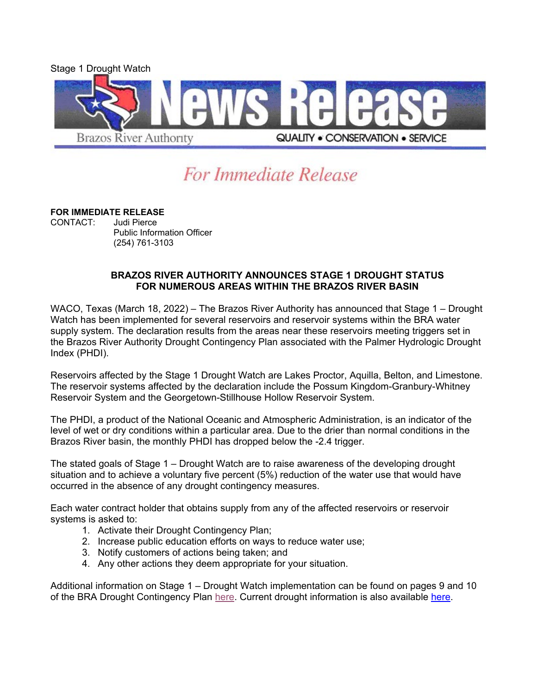

## For Immediate Release

## **FOR IMMEDIATE RELEASE**

CONTACT: Public Information Officer (254) 761-3103

## **BRAZOS RIVER AUTHORITY ANNOUNCES STAGE 1 DROUGHT STATUS FOR NUMEROUS AREAS WITHIN THE BRAZOS RIVER BASIN**

WACO, Texas (March 18, 2022) – The Brazos River Authority has announced that Stage 1 – Drought Watch has been implemented for several reservoirs and reservoir systems within the BRA water supply system. The declaration results from the areas near these reservoirs meeting triggers set in the Brazos River Authority Drought Contingency Plan associated with the Palmer Hydrologic Drought Index (PHDI).

Reservoirs affected by the Stage 1 Drought Watch are Lakes Proctor, Aquilla, Belton, and Limestone. The reservoir systems affected by the declaration include the Possum Kingdom-Granbury-Whitney Reservoir System and the Georgetown-Stillhouse Hollow Reservoir System.

The PHDI, a product of the National Oceanic and Atmospheric Administration, is an indicator of the level of wet or dry conditions within a particular area. Due to the drier than normal conditions in the Brazos River basin, the monthly PHDI has dropped below the -2.4 trigger.

The stated goals of Stage 1 – Drought Watch are to raise awareness of the developing drought situation and to achieve a voluntary five percent (5%) reduction of the water use that would have occurred in the absence of any drought contingency measures.

Each water contract holder that obtains supply from any of the affected reservoirs or reservoir systems is asked to:

- 1. Activate their Drought Contingency Plan;
- 2. Increase public education efforts on ways to reduce water use;
- 3. Notify customers of actions being taken; and
- 4. Any other actions they deem appropriate for your situation.

Additional information on Stage 1 – Drought Watch implementation can be found on pages 9 and 10 of the BRA Drought Contingency Plan [here.](https://brazos.org/Portals/0/drought/DCP-2019.pdf?ver=DR_v5N6dHpA5-DMHL8Rp3w%3d%3d) Current drought information is also available [here.](http://www.brazos.org/About-Us/Water-Supply/Drought)